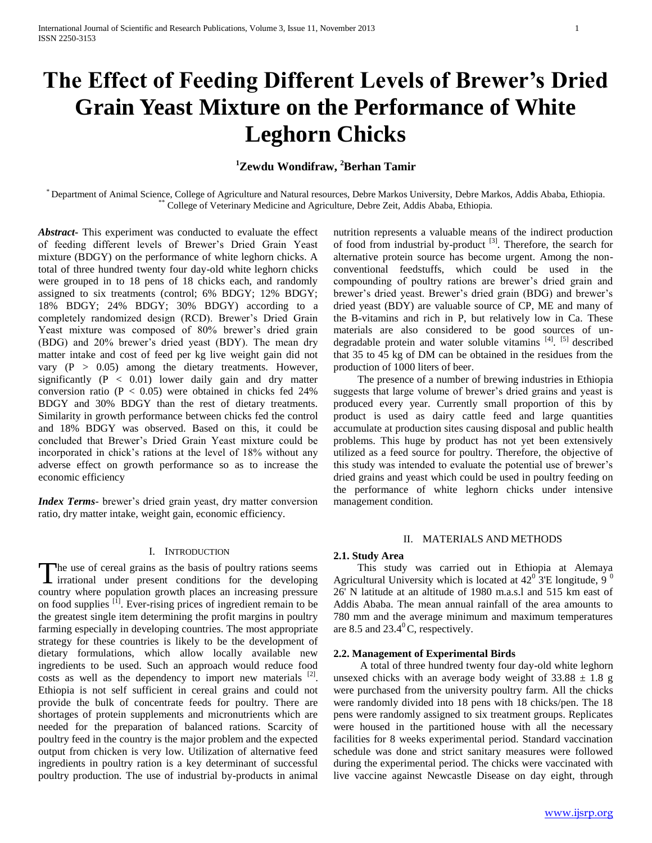# **The Effect of Feeding Different Levels of Brewer's Dried Grain Yeast Mixture on the Performance of White Leghorn Chicks**

## **<sup>1</sup>Zewdu Wondifraw, <sup>2</sup>Berhan Tamir**

\* Department of Animal Science, College of Agriculture and Natural resources, Debre Markos University, Debre Markos, Addis Ababa, Ethiopia. \*\* College of Veterinary Medicine and Agriculture, Debre Zeit, Addis Ababa, Ethiopia.

*Abstract***-** This experiment was conducted to evaluate the effect of feeding different levels of Brewer's Dried Grain Yeast mixture (BDGY) on the performance of white leghorn chicks. A total of three hundred twenty four day-old white leghorn chicks were grouped in to 18 pens of 18 chicks each, and randomly assigned to six treatments (control; 6% BDGY; 12% BDGY; 18% BDGY; 24% BDGY; 30% BDGY) according to a completely randomized design (RCD). Brewer's Dried Grain Yeast mixture was composed of 80% brewer's dried grain (BDG) and 20% brewer's dried yeast (BDY). The mean dry matter intake and cost of feed per kg live weight gain did not vary (P > 0.05) among the dietary treatments. However, significantly (P < 0.01) lower daily gain and dry matter conversion ratio ( $P < 0.05$ ) were obtained in chicks fed 24% BDGY and 30% BDGY than the rest of dietary treatments. Similarity in growth performance between chicks fed the control and 18% BDGY was observed. Based on this, it could be concluded that Brewer's Dried Grain Yeast mixture could be incorporated in chick's rations at the level of 18% without any adverse effect on growth performance so as to increase the economic efficiency

*Index Terms*- brewer's dried grain yeast, dry matter conversion ratio, dry matter intake, weight gain, economic efficiency.

## I. INTRODUCTION

The use of cereal grains as the basis of poultry rations seems The use of cereal grains as the basis of poultry rations seems<br>irrational under present conditions for the developing country where population growth places an increasing pressure on food supplies  $[1]$ . Ever-rising prices of ingredient remain to be the greatest single item determining the profit margins in poultry farming especially in developing countries. The most appropriate strategy for these countries is likely to be the development of dietary formulations, which allow locally available new ingredients to be used. Such an approach would reduce food costs as well as the dependency to import new materials  $[2]$ . Ethiopia is not self sufficient in cereal grains and could not provide the bulk of concentrate feeds for poultry. There are shortages of protein supplements and micronutrients which are needed for the preparation of balanced rations. Scarcity of poultry feed in the country is the major problem and the expected output from chicken is very low. Utilization of alternative feed ingredients in poultry ration is a key determinant of successful poultry production. The use of industrial by-products in animal

nutrition represents a valuable means of the indirect production of food from industrial by-product  $[3]$ . Therefore, the search for alternative protein source has become urgent. Among the nonconventional feedstuffs, which could be used in the compounding of poultry rations are brewer's dried grain and brewer's dried yeast. Brewer's dried grain (BDG) and brewer's dried yeast (BDY) are valuable source of CP, ME and many of the B-vitamins and rich in P, but relatively low in Ca. These materials are also considered to be good sources of undegradable protein and water soluble vitamins<sup>[4]</sup>. <sup>[5]</sup> described that 35 to 45 kg of DM can be obtained in the residues from the production of 1000 liters of beer.

 The presence of a number of brewing industries in Ethiopia suggests that large volume of brewer's dried grains and yeast is produced every year. Currently small proportion of this by product is used as dairy cattle feed and large quantities accumulate at production sites causing disposal and public health problems. This huge by product has not yet been extensively utilized as a feed source for poultry. Therefore, the objective of this study was intended to evaluate the potential use of brewer's dried grains and yeast which could be used in poultry feeding on the performance of white leghorn chicks under intensive management condition.

## II. MATERIALS AND METHODS

### **2.1. Study Area**

 This study was carried out in Ethiopia at Alemaya Agricultural University which is located at  $42^{\circ}$  3'E longitude, 9  $^{\circ}$ 26' N latitude at an altitude of 1980 m.a.s.l and 515 km east of Addis Ababa. The mean annual rainfall of the area amounts to 780 mm and the average minimum and maximum temperatures are 8.5 and  $23.4^{\circ}$ C, respectively.

#### **2.2. Management of Experimental Birds**

 A total of three hundred twenty four day-old white leghorn unsexed chicks with an average body weight of  $33.88 \pm 1.8$  g were purchased from the university poultry farm. All the chicks were randomly divided into 18 pens with 18 chicks/pen. The 18 pens were randomly assigned to six treatment groups. Replicates were housed in the partitioned house with all the necessary facilities for 8 weeks experimental period. Standard vaccination schedule was done and strict sanitary measures were followed during the experimental period. The chicks were vaccinated with live vaccine against Newcastle Disease on day eight, through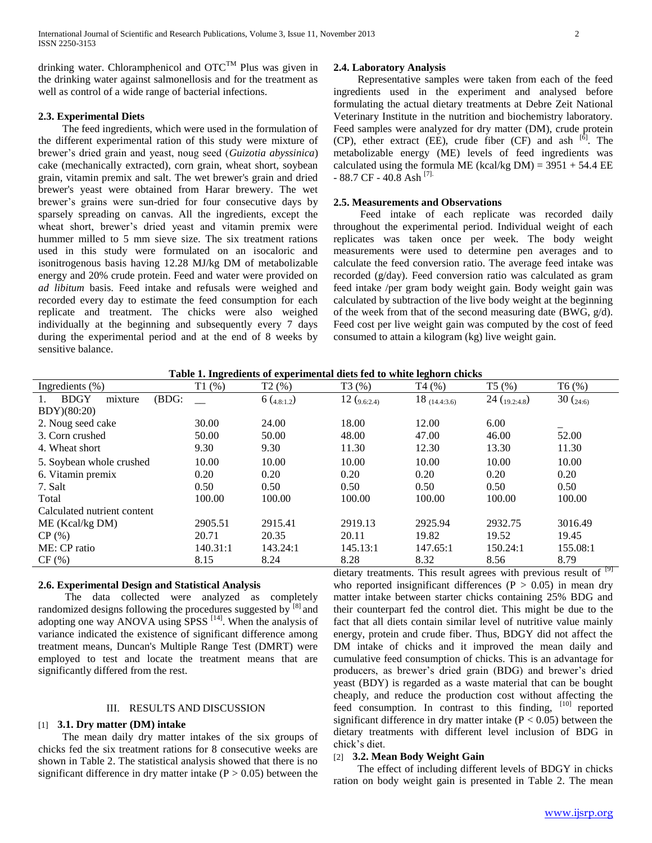drinking water. Chloramphenicol and  $\mathrm{OTC}^{\mathrm{TM}}$  Plus was given in the drinking water against salmonellosis and for the treatment as well as control of a wide range of bacterial infections.

## **2.3. Experimental Diets**

 The feed ingredients, which were used in the formulation of the different experimental ration of this study were mixture of brewer's dried grain and yeast, noug seed (*Guizotia abyssinica*) cake (mechanically extracted), corn grain, wheat short, soybean grain, vitamin premix and salt. The wet brewer's grain and dried brewer's yeast were obtained from Harar brewery. The wet brewer's grains were sun-dried for four consecutive days by sparsely spreading on canvas. All the ingredients, except the wheat short, brewer's dried yeast and vitamin premix were hummer milled to 5 mm sieve size. The six treatment rations used in this study were formulated on an isocaloric and isonitrogenous basis having 12.28 MJ/kg DM of metabolizable energy and 20% crude protein. Feed and water were provided on *ad libitum* basis. Feed intake and refusals were weighed and recorded every day to estimate the feed consumption for each replicate and treatment. The chicks were also weighed individually at the beginning and subsequently every 7 days during the experimental period and at the end of 8 weeks by sensitive balance.

## **2.4. Laboratory Analysis**

 Representative samples were taken from each of the feed ingredients used in the experiment and analysed before formulating the actual dietary treatments at Debre Zeit National Veterinary Institute in the nutrition and biochemistry laboratory. Feed samples were analyzed for dry matter (DM), crude protein (CP), ether extract (EE), crude fiber (CF) and ash  $[6]$ . The metabolizable energy (ME) levels of feed ingredients was calculated using the formula ME (kcal/kg  $DM$ ) = 3951 + 54.4 EE - 88.7 CF - 40.8 Ash <sup>[7].</sup>

## **2.5. Measurements and Observations**

 Feed intake of each replicate was recorded daily throughout the experimental period. Individual weight of each replicates was taken once per week. The body weight measurements were used to determine pen averages and to calculate the feed conversion ratio. The average feed intake was recorded (g/day). Feed conversion ratio was calculated as gram feed intake /per gram body weight gain. Body weight gain was calculated by subtraction of the live body weight at the beginning of the week from that of the second measuring date (BWG,  $g/d$ ). Feed cost per live weight gain was computed by the cost of feed consumed to attain a kilogram (kg) live weight gain.

| Ingredients $(\%)$                    | T1(%)    | T2(%)      | T3(%)          | T4(%)             | T5(%)                    | T6(%)       |
|---------------------------------------|----------|------------|----------------|-------------------|--------------------------|-------------|
| <b>BDGY</b><br>(BDG:<br>mixture<br>Ι. |          | 6(4.8:1.2) | 12 $(9.6:2.4)$ | $18_{(14.4:3.6)}$ | 24 $\binom{19.2:4.8}{ }$ | 30 $(24:6)$ |
| BDY)(80:20)                           |          |            |                |                   |                          |             |
| 2. Noug seed cake                     | 30.00    | 24.00      | 18.00          | 12.00             | 6.00                     |             |
| 3. Corn crushed                       | 50.00    | 50.00      | 48.00          | 47.00             | 46.00                    | 52.00       |
| 4. Wheat short                        | 9.30     | 9.30       | 11.30          | 12.30             | 13.30                    | 11.30       |
| 5. Soybean whole crushed              | 10.00    | 10.00      | 10.00          | 10.00             | 10.00                    | 10.00       |
| 6. Vitamin premix                     | 0.20     | 0.20       | 0.20           | 0.20              | 0.20                     | 0.20        |
| 7. Salt                               | 0.50     | 0.50       | 0.50           | 0.50              | 0.50                     | 0.50        |
| Total                                 | 100.00   | 100.00     | 100.00         | 100.00            | 100.00                   | 100.00      |
| Calculated nutrient content           |          |            |                |                   |                          |             |
| ME (Keal/kg DM)                       | 2905.51  | 2915.41    | 2919.13        | 2925.94           | 2932.75                  | 3016.49     |
| CP(%)                                 | 20.71    | 20.35      | 20.11          | 19.82             | 19.52                    | 19.45       |
| ME: CP ratio                          | 140.31:1 | 143.24:1   | 145.13:1       | 147.65:1          | 150.24:1                 | 155.08:1    |
| CF(%)                                 | 8.15     | 8.24       | 8.28           | 8.32              | 8.56                     | 8.79<br>m   |

**Table 1. Ingredients of experimental diets fed to white leghorn chicks**

## **2.6. Experimental Design and Statistical Analysis**

 The data collected were analyzed as completely randomized designs following the procedures suggested by <sup>[8]</sup> and adopting one way ANOVA using SPSS<sup>[14]</sup>. When the analysis of variance indicated the existence of significant difference among treatment means, Duncan's Multiple Range Test (DMRT) were employed to test and locate the treatment means that are significantly differed from the rest.

## III. RESULTS AND DISCUSSION

## [1] **3.1. Dry matter (DM) intake**

 The mean daily dry matter intakes of the six groups of chicks fed the six treatment rations for 8 consecutive weeks are shown in Table 2. The statistical analysis showed that there is no significant difference in dry matter intake  $(P > 0.05)$  between the dietary treatments. This result agrees with previous result of  $[9]$ who reported insignificant differences  $(P > 0.05)$  in mean dry matter intake between starter chicks containing 25% BDG and their counterpart fed the control diet. This might be due to the fact that all diets contain similar level of nutritive value mainly energy, protein and crude fiber. Thus, BDGY did not affect the DM intake of chicks and it improved the mean daily and cumulative feed consumption of chicks. This is an advantage for producers, as brewer's dried grain (BDG) and brewer's dried yeast (BDY) is regarded as a waste material that can be bought cheaply, and reduce the production cost without affecting the feed consumption. In contrast to this finding, [10] reported significant difference in dry matter intake  $(P < 0.05)$  between the dietary treatments with different level inclusion of BDG in chick's diet.

## [2] **3.2. Mean Body Weight Gain**

 The effect of including different levels of BDGY in chicks ration on body weight gain is presented in Table 2. The mean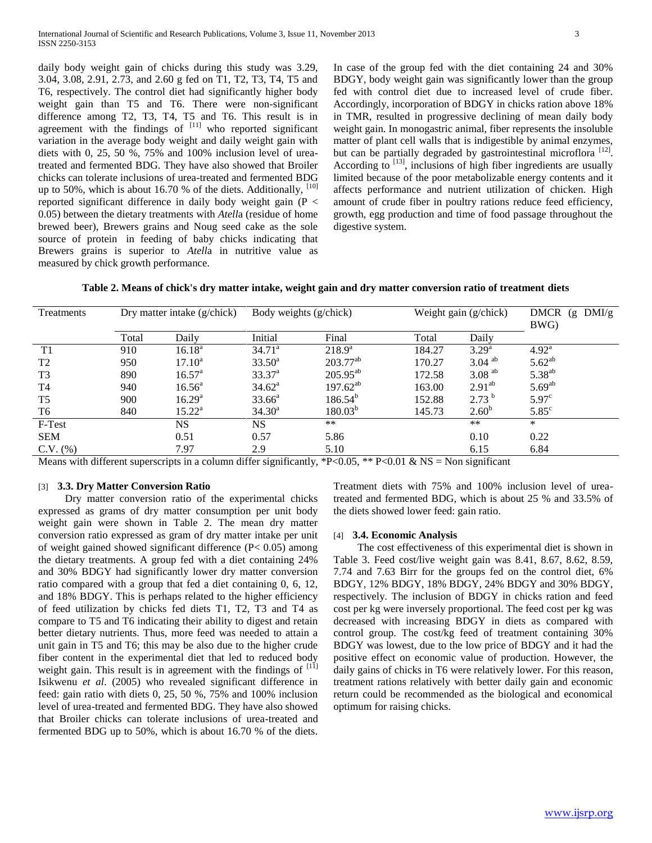daily body weight gain of chicks during this study was 3.29, 3.04, 3.08, 2.91, 2.73, and 2.60 g fed on T1, T2, T3, T4, T5 and T6, respectively. The control diet had significantly higher body weight gain than T5 and T6. There were non-significant difference among T2, T3, T4, T5 and T6. This result is in agreement with the findings of  $[11]$  who reported significant variation in the average body weight and daily weight gain with diets with 0, 25, 50 %, 75% and 100% inclusion level of ureatreated and fermented BDG. They have also showed that Broiler chicks can tolerate inclusions of urea-treated and fermented BDG up to 50%, which is about 16.70 % of the diets. Additionally,  $[10]$ reported significant difference in daily body weight gain  $(P \leq$ 0.05) between the dietary treatments with *Atell*a (residue of home brewed beer), Brewers grains and Noug seed cake as the sole source of protein in feeding of baby chicks indicating that Brewers grains is superior to *Atell*a in nutritive value as measured by chick growth performance.

In case of the group fed with the diet containing 24 and 30% BDGY, body weight gain was significantly lower than the group fed with control diet due to increased level of crude fiber. Accordingly, incorporation of BDGY in chicks ration above 18% in TMR, resulted in progressive declining of mean daily body weight gain. In monogastric animal, fiber represents the insoluble matter of plant cell walls that is indigestible by animal enzymes, but can be partially degraded by gastrointestinal microflora<sup>[12]</sup>. According to  $\left[13\right]$ , inclusions of high fiber ingredients are usually limited because of the poor metabolizable energy contents and it affects performance and nutrient utilization of chicken. High amount of crude fiber in poultry rations reduce feed efficiency, growth, egg production and time of food passage throughout the digestive system.

**Table 2. Means of chick's dry matter intake, weight gain and dry matter conversion ratio of treatment diets**

| Treatments     | Dry matter intake (g/chick) |                    | Body weights (g/chick) |               | Weight gain (g/chick) |                      | <b>DMCR</b><br>DMI/g<br>(g<br>BWG) |
|----------------|-----------------------------|--------------------|------------------------|---------------|-----------------------|----------------------|------------------------------------|
|                | Total                       | Daily              | Initial                | Final         | Total                 | Daily                |                                    |
| T <sub>1</sub> | 910                         | $16.18^{\rm a}$    | $34.71^{\circ}$        | $218.9^{a}$   | 184.27                | $3.29^{a}$           | $4.92^{\rm a}$                     |
| T <sub>2</sub> | 950                         | $17.10^a$          | $33.50^{\circ}$        | $203.77^{ab}$ | 170.27                | $3.04$ <sup>ab</sup> | $5.62^{ab}$                        |
| T <sub>3</sub> | 890                         | $16.57^{\rm a}$    | $33.37^{a}$            | $205.95^{ab}$ | 172.58                | $3.08$ <sup>ab</sup> | $5.38^{ab}$                        |
| T <sub>4</sub> | 940                         | $16.56^{\circ}$    | $34.62^{\rm a}$        | $197.62^{ab}$ | 163.00                | 2.91 <sup>ab</sup>   | $5.69^{ab}$                        |
| T <sub>5</sub> | 900                         | 16.29 <sup>a</sup> | $33.66^a$              | $186.54^{b}$  | 152.88                | $2.73^{b}$           | 5.97 <sup>c</sup>                  |
| T6             | 840                         | $15.22^{\rm a}$    | $34.30^a$              | $180.03^{b}$  | 145.73                | $2.60^{b}$           | $5.85^{\circ}$                     |
| F-Test         |                             | <b>NS</b>          | <b>NS</b>              | $***$         |                       | $***$                | $\ast$                             |
| <b>SEM</b>     |                             | 0.51               | 0.57                   | 5.86          |                       | 0.10                 | 0.22                               |
| $C.V.$ $%$     |                             | 7.97               | 2.9                    | 5.10          |                       | 6.15                 | 6.84                               |

Means with different superscripts in a column differ significantly, \*P<0.05, \*\* P<0.01 & NS = Non significant

## [3] **3.3. Dry Matter Conversion Ratio**

 Dry matter conversion ratio of the experimental chicks expressed as grams of dry matter consumption per unit body weight gain were shown in Table 2. The mean dry matter conversion ratio expressed as gram of dry matter intake per unit of weight gained showed significant difference (P< 0.05) among the dietary treatments. A group fed with a diet containing 24% and 30% BDGY had significantly lower dry matter conversion ratio compared with a group that fed a diet containing 0, 6, 12, and 18% BDGY. This is perhaps related to the higher efficiency of feed utilization by chicks fed diets T1, T2, T3 and T4 as compare to T5 and T6 indicating their ability to digest and retain better dietary nutrients. Thus, more feed was needed to attain a unit gain in T5 and T6; this may be also due to the higher crude fiber content in the experimental diet that led to reduced body weight gain. This result is in agreement with the findings of  $\begin{bmatrix} 111 \end{bmatrix}$ Isikwenu *et al*. (2005) who revealed significant difference in feed: gain ratio with diets 0, 25, 50 %, 75% and 100% inclusion level of urea-treated and fermented BDG. They have also showed that Broiler chicks can tolerate inclusions of urea-treated and fermented BDG up to 50%, which is about 16.70 % of the diets.

Treatment diets with 75% and 100% inclusion level of ureatreated and fermented BDG, which is about 25 % and 33.5% of the diets showed lower feed: gain ratio.

#### [4] **3.4. Economic Analysis**

 The cost effectiveness of this experimental diet is shown in Table 3. Feed cost/live weight gain was 8.41, 8.67, 8.62, 8.59, 7.74 and 7.63 Birr for the groups fed on the control diet, 6% BDGY, 12% BDGY, 18% BDGY, 24% BDGY and 30% BDGY, respectively. The inclusion of BDGY in chicks ration and feed cost per kg were inversely proportional. The feed cost per kg was decreased with increasing BDGY in diets as compared with control group. The cost/kg feed of treatment containing 30% BDGY was lowest, due to the low price of BDGY and it had the positive effect on economic value of production. However, the daily gains of chicks in T6 were relatively lower. For this reason, treatment rations relatively with better daily gain and economic return could be recommended as the biological and economical optimum for raising chicks.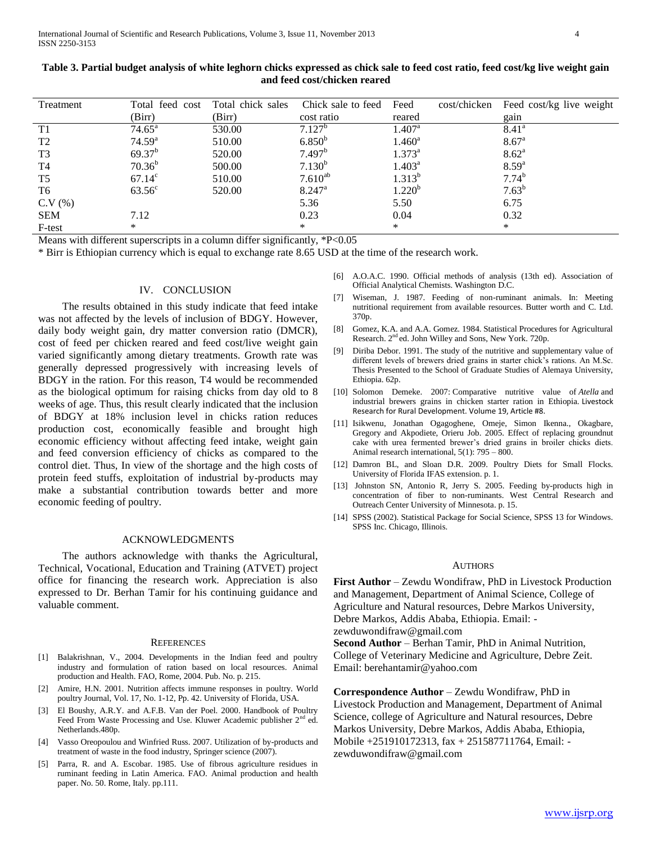| Treatment      | Total feed cost    | Total chick sales | Chick sale to feed | Feed               | cost/chicken | Feed cost/kg live weight |
|----------------|--------------------|-------------------|--------------------|--------------------|--------------|--------------------------|
|                | (Birr)             | (Birr)            | cost ratio         | reared             |              | gain                     |
| T1             | $74.65^{\circ}$    | 530.00            | 7.127 <sup>b</sup> | $1.407^{\rm a}$    |              | $8.41^{\circ}$           |
| T <sub>2</sub> | 74.59 <sup>a</sup> | 510.00            | $6.850^{b}$        | $1.460^{\rm a}$    |              | 8.67 <sup>a</sup>        |
| T3             | $69.37^{b}$        | 520.00            | 7.497 <sup>b</sup> | $1.373^{\rm a}$    |              | 8.62 <sup>a</sup>        |
| T4             | $70.36^{b}$        | 500.00            | $7.130^{b}$        | $1.403^{\rm a}$    |              | $8.59^{a}$               |
| T5             | $67.14^{\circ}$    | 510.00            | $7.610^{ab}$       | $1.313^{b}$        |              | $7.74^{b}$               |
| T6             | $63.56^{\circ}$    | 520.00            | $8.247^{\rm a}$    | 1.220 <sup>b</sup> |              | $7.63^{b}$               |
| C.V(%)         |                    |                   | 5.36               | 5.50               |              | 6.75                     |
| <b>SEM</b>     | 7.12               |                   | 0.23               | 0.04               |              | 0.32                     |
| F-test         | $\ast$             |                   | $\ast$             | *                  |              | $\ast$                   |

| Table 3. Partial budget analysis of white leghorn chicks expressed as chick sale to feed cost ratio, feed cost/kg live weight gain |
|------------------------------------------------------------------------------------------------------------------------------------|
| and feed cost/chicken reared                                                                                                       |

Means with different superscripts in a column differ significantly, \*P<0.05

\* Birr is Ethiopian currency which is equal to exchange rate 8.65 USD at the time of the research work.

#### IV. CONCLUSION

 The results obtained in this study indicate that feed intake was not affected by the levels of inclusion of BDGY. However, daily body weight gain, dry matter conversion ratio (DMCR), cost of feed per chicken reared and feed cost/live weight gain varied significantly among dietary treatments. Growth rate was generally depressed progressively with increasing levels of BDGY in the ration. For this reason, T4 would be recommended as the biological optimum for raising chicks from day old to 8 weeks of age. Thus, this result clearly indicated that the inclusion of BDGY at 18% inclusion level in chicks ration reduces production cost, economically feasible and brought high economic efficiency without affecting feed intake, weight gain and feed conversion efficiency of chicks as compared to the control diet. Thus, In view of the shortage and the high costs of protein feed stuffs, exploitation of industrial by-products may make a substantial contribution towards better and more economic feeding of poultry.

#### ACKNOWLEDGMENTS

 The authors acknowledge with thanks the Agricultural, Technical, Vocational, Education and Training (ATVET) project office for financing the research work. Appreciation is also expressed to Dr. Berhan Tamir for his continuing guidance and valuable comment.

#### **REFERENCES**

- [1] Balakrishnan, V., 2004. Developments in the Indian feed and poultry industry and formulation of ration based on local resources. Animal production and Health. FAO, Rome, 2004. Pub. No. p. 215.
- [2] Amire, H.N. 2001. Nutrition affects immune responses in poultry. World poultry Journal, Vol. 17, No. 1-12, Pp. 42. University of Florida, USA.
- [3] El Boushy, A.R.Y. and A.F.B. Van der Poel. 2000. Handbook of Poultry Feed From Waste Processing and Use. Kluwer Academic publisher 2<sup>nd</sup> ed. Netherlands.480p.
- [4] Vasso Oreopoulou and Winfried Russ. 2007. Utilization of by-products and treatment of waste in the food industry, Springer science (2007).
- [5] Parra, R. and A. Escobar. 1985. Use of fibrous agriculture residues in ruminant feeding in Latin America. FAO. Animal production and health paper. No. 50. Rome, Italy. pp.111.
- [6] A.O.A.C. 1990. Official methods of analysis (13th ed). Association of Official Analytical Chemists. Washington D.C.
- [7] Wiseman, J. 1987. Feeding of non-ruminant animals. In: Meeting nutritional requirement from available resources. Butter worth and C. Ltd. 370p.
- [8] Gomez, K.A. and A.A. Gomez. 1984. Statistical Procedures for Agricultural Research. 2<sup>nd</sup> ed. John Willey and Sons, New York. 720p.
- [9] Diriba Debor. 1991. The study of the nutritive and supplementary value of different levels of brewers dried grains in starter chick's rations. An M.Sc. Thesis Presented to the School of Graduate Studies of Alemaya University, Ethiopia. 62p.
- [10] Solomon Demeke. 2007: Comparative nutritive value of *Atella* and industrial brewers grains in chicken starter ration in Ethiopia. Livestock Research for Rural Development. Volume 19, Article #8.
- [11] Isikwenu, Jonathan Ogagoghene, Omeje, Simon Ikenna., Okagbare, Gregory and Akpodiete, Orieru Job. 2005. Effect of replacing groundnut cake with urea fermented brewer's dried grains in broiler chicks diets. Animal research international, 5(1): 795 – 800.
- [12] Damron BL, and Sloan D.R. 2009. Poultry Diets for Small Flocks. University of Florida IFAS extension. p. 1.
- [13] Johnston SN, Antonio R, Jerry S. 2005. Feeding by-products high in concentration of fiber to non-ruminants. West Central Research and Outreach Center University of Minnesota. p. 15.
- [14] SPSS (2002). Statistical Package for Social Science, SPSS 13 for Windows. SPSS Inc. Chicago, Illinois.

## **AUTHORS**

**First Author** – Zewdu Wondifraw, PhD in Livestock Production and Management, Department of Animal Science, College of Agriculture and Natural resources, Debre Markos University, Debre Markos, Addis Ababa, Ethiopia. Email: -

zewduwondifraw@gmail.com

**Second Author** – Berhan Tamir, PhD in Animal Nutrition, College of Veterinary Medicine and Agriculture, Debre Zeit. Email: berehantamir@yahoo.com

**Correspondence Author** – Zewdu Wondifraw, PhD in Livestock Production and Management, Department of Animal Science, college of Agriculture and Natural resources, Debre Markos University, Debre Markos, Addis Ababa, Ethiopia, Mobile +251910172313, fax + 251587711764, Email: zewduwondifraw@gmail.com